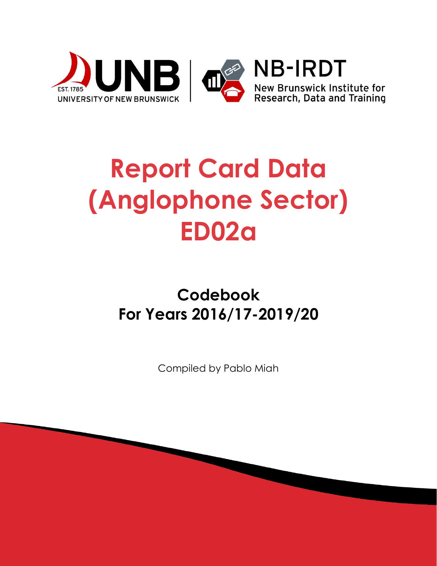

# **Report Card Data (Anglophone Sector) ED02a**

# **Codebook For Years 2016/17-2019/20**

Compiled by Pablo Miah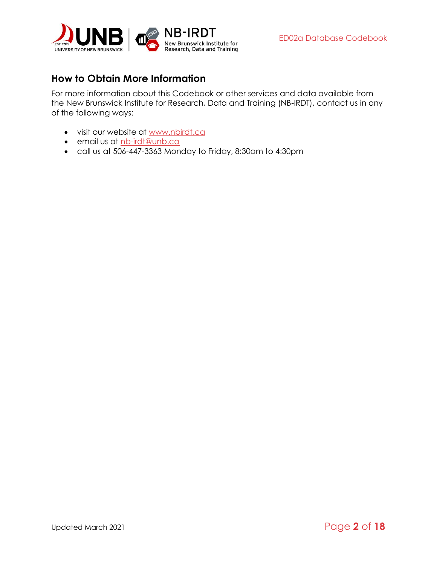

## <span id="page-1-0"></span>**How to Obtain More Information**

For more information about this Codebook or other services and data available from the New Brunswick Institute for Research, Data and Training (NB-IRDT), contact us in any of the following ways:

- visit our website at [www.nbirdt.ca](http://www.nbirdt.ca/)
- email us at [nb-irdt@unb.ca](mailto:nb-irdt@unb.ca)
- call us at 506-447-3363 Monday to Friday, 8:30am to 4:30pm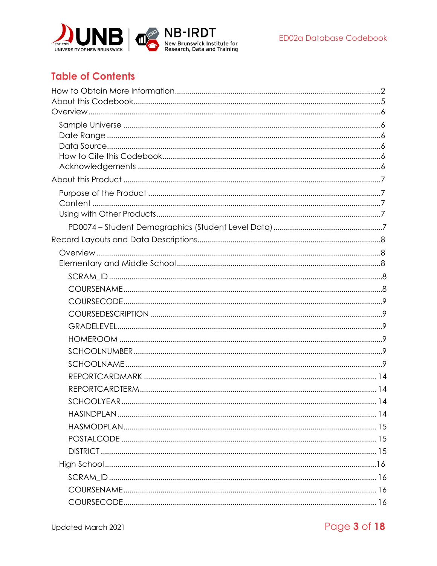

# **Table of Contents**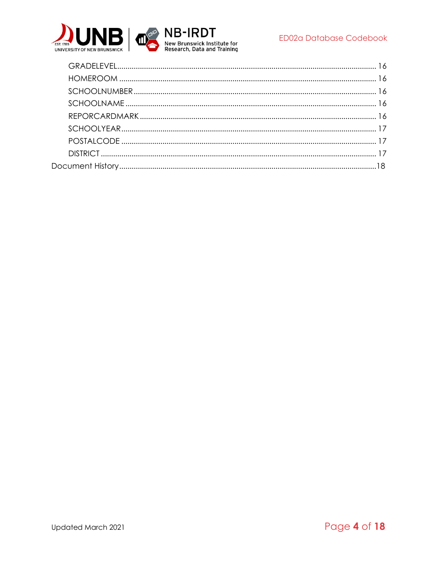

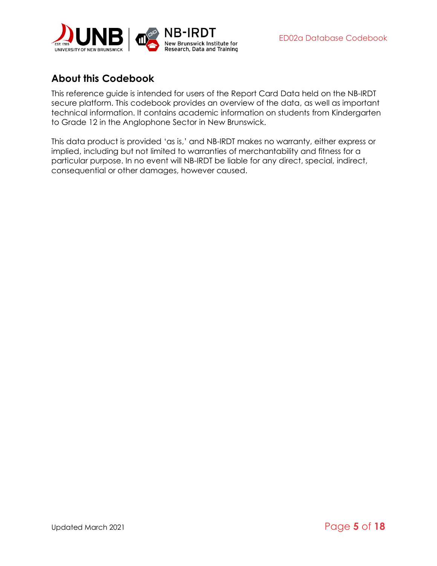

# <span id="page-4-0"></span>**About this Codebook**

This reference guide is intended for users of the Report Card Data held on the NB-IRDT secure platform. This codebook provides an overview of the data, as well as important technical information. It contains academic information on students from Kindergarten to Grade 12 in the Anglophone Sector in New Brunswick.

This data product is provided 'as is,' and NB-IRDT makes no warranty, either express or implied, including but not limited to warranties of merchantability and fitness for a particular purpose. In no event will NB-IRDT be liable for any direct, special, indirect, consequential or other damages, however caused.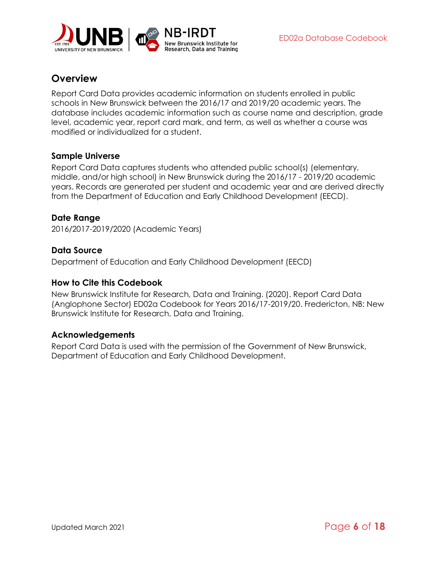

### <span id="page-5-0"></span>**Overview**

Report Card Data provides academic information on students enrolled in public schools in New Brunswick between the 2016/17 and 2019/20 academic years. The database includes academic information such as course name and description, grade level, academic year, report card mark, and term, as well as whether a course was modified or individualized for a student.

#### <span id="page-5-1"></span>**Sample Universe**

Report Card Data captures students who attended public school(s) (elementary, middle, and/or high school) in New Brunswick during the 2016/17 - 2019/20 academic years. Records are generated per student and academic year and are derived directly from the Department of Education and Early Childhood Development (EECD).

#### <span id="page-5-2"></span>**Date Range**

2016/2017-2019/2020 (Academic Years)

#### <span id="page-5-3"></span>**Data Source**

Department of Education and Early Childhood Development (EECD)

#### <span id="page-5-4"></span>**How to Cite this Codebook**

New Brunswick Institute for Research, Data and Training. (2020). Report Card Data (Anglophone Sector) ED02a Codebook for Years 2016/17-2019/20. Fredericton, NB: New Brunswick Institute for Research, Data and Training.

#### <span id="page-5-5"></span>**Acknowledgements**

Report Card Data is used with the permission of the Government of New Brunswick, Department of Education and Early Childhood Development.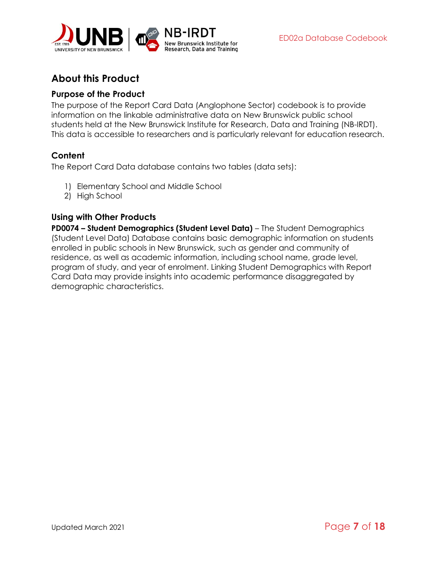

# <span id="page-6-0"></span>**About this Product**

#### <span id="page-6-1"></span>**Purpose of the Product**

The purpose of the Report Card Data (Anglophone Sector) codebook is to provide information on the linkable administrative data on New Brunswick public school students held at the New Brunswick Institute for Research, Data and Training (NB-IRDT). This data is accessible to researchers and is particularly relevant for education research.

#### <span id="page-6-2"></span>**Content**

The Report Card Data database contains two tables (data sets):

- 1) Elementary School and Middle School
- 2) High School

#### <span id="page-6-3"></span>**Using with Other Products**

<span id="page-6-4"></span>**PD0074 – Student Demographics (Student Level Data)** – The Student Demographics (Student Level Data) Database contains basic demographic information on students enrolled in public schools in New Brunswick, such as gender and community of residence, as well as academic information, including school name, grade level, program of study, and year of enrolment. Linking Student Demographics with Report Card Data may provide insights into academic performance disaggregated by demographic characteristics.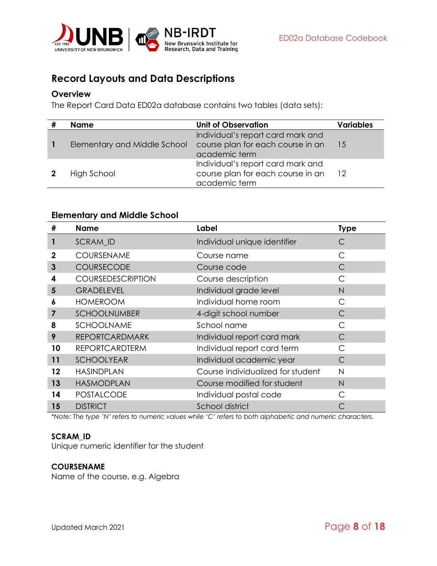

# <span id="page-7-0"></span>**Record Layouts and Data Descriptions**

#### <span id="page-7-1"></span>**Overview**

The Report Card Data ED02a database contains two tables (data sets):

| <b>Name</b>                  | <b>Unit of Observation</b>                                                              | <b>Variables</b> |
|------------------------------|-----------------------------------------------------------------------------------------|------------------|
| Elementary and Middle School | Individual's report card mark and<br>course plan for each course in an<br>academic term | 15               |
| High School                  | Individual's report card mark and<br>course plan for each course in an<br>academic term | 12               |

#### <span id="page-7-2"></span>**Elementary and Middle School**

| #       | <b>Name</b>              | Label                             | <b>Type</b> |
|---------|--------------------------|-----------------------------------|-------------|
| 1       | SCRAM_ID                 | Individual unique identifier      | С           |
| 2       | COURSENAME               | Course name                       | С           |
| 3       | COURSECODE               | Course code                       | C           |
| 4       | <b>COURSEDESCRIPTION</b> | Course description                | C           |
| 5       | <b>GRADELEVEL</b>        | Individual grade level            | N           |
| 6       | <b>HOMEROOM</b>          | Individual home room              | C           |
| 7       | <b>SCHOOLNUMBER</b>      | 4-digit school number             | С           |
| 8       | SCHOOLNAME               | School name                       | C           |
| 9       | <b>REPORTCARDMARK</b>    | Individual report card mark       | C           |
| 10      | <b>REPORTCARDTERM</b>    | Individual report card term       | С           |
| 11      | <b>SCHOOLYEAR</b>        | Individual academic year          | C           |
| $12 \,$ | <b>HASINDPLAN</b>        | Course individualized for student | N           |
| 13      | <b>HASMODPLAN</b>        | Course modified for student       | N           |
| 14      | <b>POSTALCODE</b>        | Individual postal code            | $\subset$   |
| 15      | <b>DISTRICT</b>          | School district                   |             |

*\*Note: The type 'N' refers to numeric values while 'C' refers to both alphabetic and numeric characters.*

#### <span id="page-7-3"></span>**SCRAM\_ID**

Unique numeric identifier for the student

#### <span id="page-7-4"></span>**COURSENAME**

Name of the course, e.g. Algebra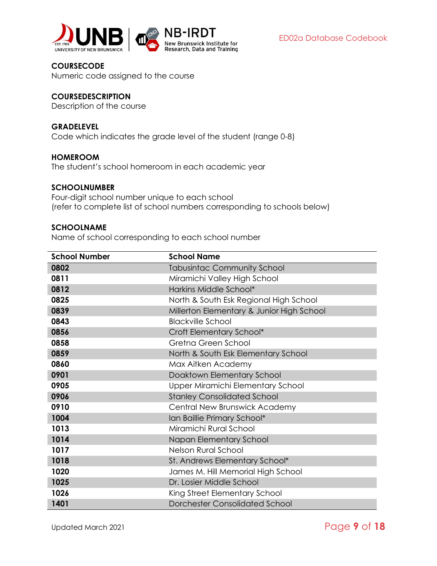

<span id="page-8-0"></span>**COURSECODE** Numeric code assigned to the course

#### <span id="page-8-1"></span>**COURSEDESCRIPTION**

Description of the course

#### <span id="page-8-2"></span>**GRADELEVEL**

Code which indicates the grade level of the student (range 0-8)

#### <span id="page-8-3"></span>**HOMEROOM**

The student's school homeroom in each academic year

#### <span id="page-8-4"></span>**SCHOOLNUMBER**

Four-digit school number unique to each school (refer to complete list of school numbers corresponding to schools below)

#### <span id="page-8-5"></span>**SCHOOLNAME**

Name of school corresponding to each school number

| <b>School Number</b> | <b>School Name</b>                        |
|----------------------|-------------------------------------------|
| 0802                 | <b>Tabusintac Community School</b>        |
| 0811                 | Miramichi Valley High School              |
| 0812                 | Harkins Middle School*                    |
| 0825                 | North & South Esk Regional High School    |
| 0839                 | Millerton Elementary & Junior High School |
| 0843                 | <b>Blackville School</b>                  |
| 0856                 | Croft Elementary School*                  |
| 0858                 | Gretna Green School                       |
| 0859                 | North & South Esk Elementary School       |
| 0860                 | Max Aitken Academy                        |
| 0901                 | Doaktown Elementary School                |
| 0905                 | Upper Miramichi Elementary School         |
| 0906                 | <b>Stanley Consolidated School</b>        |
| 0910                 | Central New Brunswick Academy             |
| 1004                 | Ian Baillie Primary School*               |
| 1013                 | Miramichi Rural School                    |
| 1014                 | Napan Elementary School                   |
| 1017                 | Nelson Rural School                       |
| 1018                 | St. Andrews Elementary School*            |
| 1020                 | James M. Hill Memorial High School        |
| 1025                 | Dr. Losier Middle School                  |
| 1026                 | King Street Elementary School             |
| 1401                 | <b>Dorchester Consolidated School</b>     |

Updated March 2021 Page **9** of **18**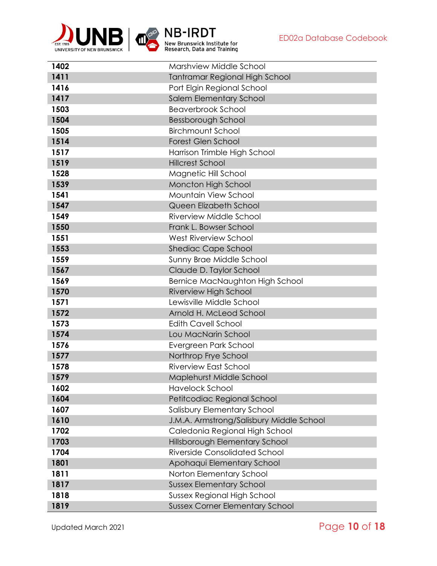

| 1402 | Marshview Middle School                  |
|------|------------------------------------------|
| 1411 | <b>Tantramar Regional High School</b>    |
| 1416 | Port Elgin Regional School               |
| 1417 | Salem Elementary School                  |
| 1503 | <b>Beaverbrook School</b>                |
| 1504 | Bessborough School                       |
| 1505 | <b>Birchmount School</b>                 |
| 1514 | <b>Forest Glen School</b>                |
| 1517 | Harrison Trimble High School             |
| 1519 | <b>Hillcrest School</b>                  |
| 1528 | Magnetic Hill School                     |
| 1539 | Moncton High School                      |
| 1541 | Mountain View School                     |
| 1547 | Queen Elizabeth School                   |
| 1549 | Riverview Middle School                  |
| 1550 | Frank L. Bowser School                   |
| 1551 | <b>West Riverview School</b>             |
| 1553 | Shediac Cape School                      |
| 1559 | Sunny Brae Middle School                 |
| 1567 | Claude D. Taylor School                  |
| 1569 | Bernice MacNaughton High School          |
| 1570 | Riverview High School                    |
| 1571 | Lewisville Middle School                 |
| 1572 | Arnold H. McLeod School                  |
| 1573 | <b>Edith Cavell School</b>               |
| 1574 | Lou MacNarin School                      |
| 1576 | Evergreen Park School                    |
| 1577 | Northrop Frye School                     |
| 1578 | <b>Riverview East School</b>             |
| 1579 | Maplehurst Middle School                 |
| 1602 | <b>Havelock School</b>                   |
| 1604 | Petitcodiac Regional School              |
| 1607 | Salisbury Elementary School              |
| 1610 | J.M.A. Armstrong/Salisbury Middle School |
| 1702 | Caledonia Regional High School           |
| 1703 | Hillsborough Elementary School           |
| 1704 | <b>Riverside Consolidated School</b>     |
| 1801 | Apohaqui Elementary School               |
| 1811 | Norton Elementary School                 |
| 1817 | <b>Sussex Elementary School</b>          |
| 1818 | <b>Sussex Regional High School</b>       |
| 1819 | <b>Sussex Corner Elementary School</b>   |

Updated March 2021 **Page 10** of **18**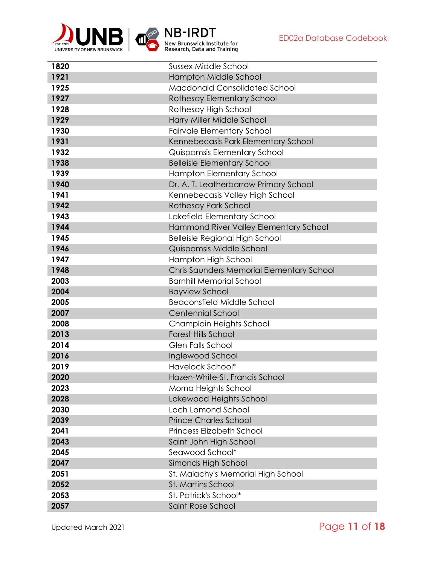

| 1820 | <b>Sussex Middle School</b>               |
|------|-------------------------------------------|
| 1921 | Hampton Middle School                     |
| 1925 | <b>Macdonald Consolidated School</b>      |
| 1927 | Rothesay Elementary School                |
| 1928 | Rothesay High School                      |
| 1929 | Harry Miller Middle School                |
| 1930 | <b>Fairvale Elementary School</b>         |
| 1931 | Kennebecasis Park Elementary School       |
| 1932 | Quispamsis Elementary School              |
| 1938 | <b>Belleisle Elementary School</b>        |
| 1939 | Hampton Elementary School                 |
| 1940 | Dr. A. T. Leatherbarrow Primary School    |
| 1941 | Kennebecasis Valley High School           |
| 1942 | <b>Rothesay Park School</b>               |
| 1943 | Lakefield Elementary School               |
| 1944 | Hammond River Valley Elementary School    |
| 1945 | <b>Belleisle Regional High School</b>     |
| 1946 | Quispamsis Middle School                  |
| 1947 | Hampton High School                       |
| 1948 | Chris Saunders Memorial Elementary School |
| 2003 | <b>Barnhill Memorial School</b>           |
| 2004 | <b>Bayview School</b>                     |
| 2005 | <b>Beaconsfield Middle School</b>         |
| 2007 | <b>Centennial School</b>                  |
| 2008 | Champlain Heights School                  |
| 2013 | <b>Forest Hills School</b>                |
| 2014 | <b>Glen Falls School</b>                  |
| 2016 | Inglewood School                          |
| 2019 | Havelock School*                          |
| 2020 | Hazen-White-St. Francis School            |
| 2023 | Morna Heights School                      |
| 2028 | Lakewood Heights School                   |
| 2030 | Loch Lomond School                        |
| 2039 | <b>Prince Charles School</b>              |
| 2041 | <b>Princess Elizabeth School</b>          |
| 2043 | Saint John High School                    |
| 2045 | Seawood School*                           |
| 2047 | Simonds High School                       |
| 2051 | St. Malachy's Memorial High School        |
| 2052 | St. Martins School                        |
| 2053 | St. Patrick's School*                     |
| 2057 | Saint Rose School                         |

Updated March 2021 **Page 11 of 18**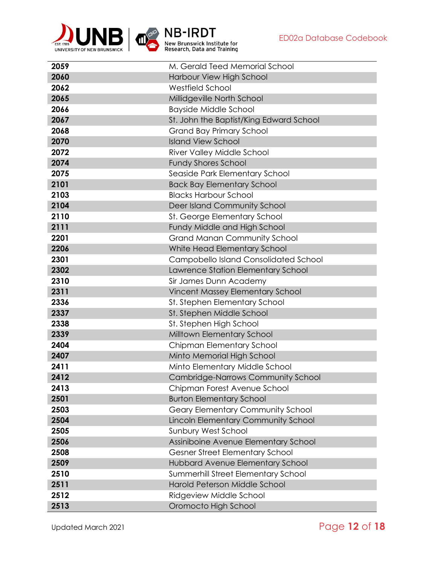

| 2059 | M. Gerald Teed Memorial School               |
|------|----------------------------------------------|
| 2060 | Harbour View High School                     |
| 2062 | <b>Westfield School</b>                      |
| 2065 | Millidgeville North School                   |
| 2066 | <b>Bayside Middle School</b>                 |
| 2067 | St. John the Baptist/King Edward School      |
| 2068 | <b>Grand Bay Primary School</b>              |
| 2070 | <b>Island View School</b>                    |
| 2072 | River Valley Middle School                   |
| 2074 | <b>Fundy Shores School</b>                   |
| 2075 | Seaside Park Elementary School               |
| 2101 | <b>Back Bay Elementary School</b>            |
| 2103 | <b>Blacks Harbour School</b>                 |
| 2104 | Deer Island Community School                 |
| 2110 | St. George Elementary School                 |
| 2111 | Fundy Middle and High School                 |
| 2201 | <b>Grand Manan Community School</b>          |
| 2206 | White Head Elementary School                 |
| 2301 | <b>Campobello Island Consolidated School</b> |
| 2302 | Lawrence Station Elementary School           |
| 2310 | Sir James Dunn Academy                       |
| 2311 | Vincent Massey Elementary School             |
| 2336 | St. Stephen Elementary School                |
| 2337 | St. Stephen Middle School                    |
| 2338 | St. Stephen High School                      |
| 2339 | Milltown Elementary School                   |
| 2404 | Chipman Elementary School                    |
| 2407 | Minto Memorial High School                   |
| 2411 | Minto Elementary Middle School               |
| 2412 | Cambridge-Narrows Community School           |
| 2413 | Chipman Forest Avenue School                 |
| 2501 | <b>Burton Elementary School</b>              |
| 2503 | Geary Elementary Community School            |
| 2504 | Lincoln Elementary Community School          |
| 2505 | Sunbury West School                          |
| 2506 | Assiniboine Avenue Elementary School         |
| 2508 | Gesner Street Elementary School              |
| 2509 | Hubbard Avenue Elementary School             |
| 2510 | Summerhill Street Elementary School          |
| 2511 | Harold Peterson Middle School                |
| 2512 | Ridgeview Middle School                      |
| 2513 | Oromocto High School                         |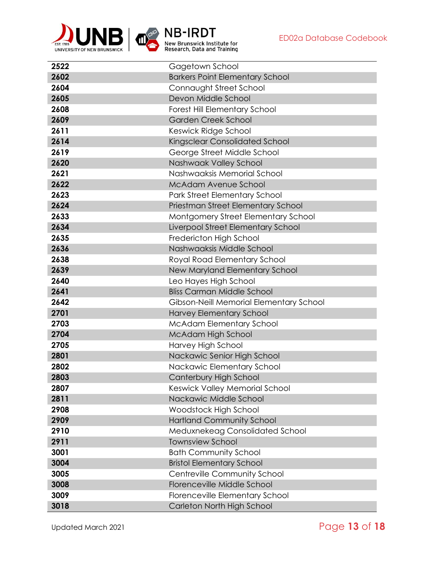

| 2522 | Gagetown School                         |
|------|-----------------------------------------|
| 2602 | <b>Barkers Point Elementary School</b>  |
| 2604 | Connaught Street School                 |
| 2605 | Devon Middle School                     |
| 2608 | Forest Hill Elementary School           |
| 2609 | <b>Garden Creek School</b>              |
| 2611 | Keswick Ridge School                    |
| 2614 | Kingsclear Consolidated School          |
| 2619 | George Street Middle School             |
| 2620 | Nashwaak Valley School                  |
| 2621 | Nashwaaksis Memorial School             |
| 2622 | <b>McAdam Avenue School</b>             |
| 2623 | Park Street Elementary School           |
| 2624 | Priestman Street Elementary School      |
| 2633 | Montgomery Street Elementary School     |
| 2634 | Liverpool Street Elementary School      |
| 2635 | Fredericton High School                 |
| 2636 | Nashwaaksis Middle School               |
| 2638 | Royal Road Elementary School            |
| 2639 | New Maryland Elementary School          |
| 2640 | Leo Hayes High School                   |
| 2641 | <b>Bliss Carman Middle School</b>       |
| 2642 | Gibson-Neill Memorial Elementary School |
| 2701 | Harvey Elementary School                |
| 2703 | <b>McAdam Elementary School</b>         |
| 2704 | McAdam High School                      |
| 2705 | Harvey High School                      |
| 2801 | Nackawic Senior High School             |
| 2802 | Nackawic Elementary School              |
| 2803 | Canterbury High School                  |
| 2807 | Keswick Valley Memorial School          |
| 2811 | Nackawic Middle School                  |
| 2908 | Woodstock High School                   |
| 2909 | <b>Hartland Community School</b>        |
| 2910 | Meduxnekeag Consolidated School         |
| 2911 | <b>Townsview School</b>                 |
| 3001 | <b>Bath Community School</b>            |
| 3004 | <b>Bristol Elementary School</b>        |
| 3005 | Centreville Community School            |
| 3008 | Florenceville Middle School             |
| 3009 | Florenceville Elementary School         |
| 3018 | Carleton North High School              |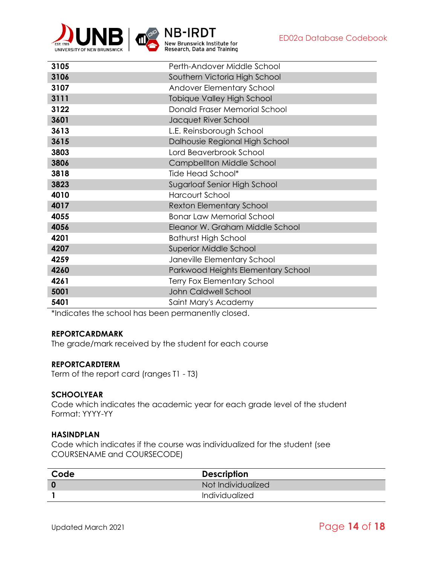

| 3105 | Perth-Andover Middle School        |
|------|------------------------------------|
| 3106 | Southern Victoria High School      |
| 3107 | Andover Elementary School          |
| 3111 | Tobique Valley High School         |
| 3122 | Donald Fraser Memorial School      |
| 3601 | Jacquet River School               |
| 3613 | L.E. Reinsborough School           |
| 3615 | Dalhousie Regional High School     |
| 3803 | Lord Beaverbrook School            |
| 3806 | Campbellton Middle School          |
| 3818 | Tide Head School*                  |
| 3823 | Sugarloaf Senior High School       |
| 4010 | <b>Harcourt School</b>             |
| 4017 | <b>Rexton Elementary School</b>    |
| 4055 | <b>Bonar Law Memorial School</b>   |
| 4056 | Eleanor W. Graham Middle School    |
| 4201 | <b>Bathurst High School</b>        |
| 4207 | Superior Middle School             |
| 4259 | Janeville Elementary School        |
| 4260 | Parkwood Heights Elementary School |
| 4261 | <b>Terry Fox Elementary School</b> |
| 5001 | John Caldwell School               |
| 5401 | Saint Mary's Academy               |
|      |                                    |

Research, Data and Training

\*Indicates the school has been permanently closed.

#### <span id="page-13-0"></span>**REPORTCARDMARK**

The grade/mark received by the student for each course

#### <span id="page-13-1"></span>**REPORTCARDTERM**

Term of the report card (ranges T1 - T3)

#### <span id="page-13-2"></span>**SCHOOLYEAR**

Code which indicates the academic year for each grade level of the student Format: YYYY-YY

#### <span id="page-13-3"></span>**HASINDPLAN**

Code which indicates if the course was individualized for the student (see COURSENAME and COURSECODE)

| Code | <b>Description</b> |
|------|--------------------|
|      | Not Individualized |
|      | Individualized     |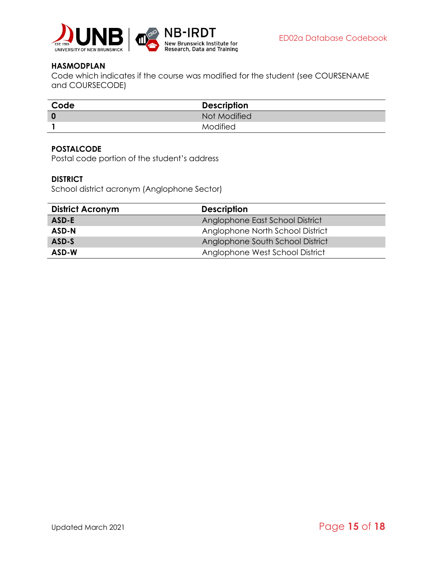

#### <span id="page-14-0"></span>**HASMODPLAN**

Code which indicates if the course was modified for the student (see COURSENAME and COURSECODE)

| Code        | <b>Description</b> |  |
|-------------|--------------------|--|
| $\mathbf 0$ | Not Modified       |  |
|             | Modified           |  |

#### <span id="page-14-1"></span>**POSTALCODE**

Postal code portion of the student's address

#### <span id="page-14-2"></span>**DISTRICT**

School district acronym (Anglophone Sector)

| <b>District Acronym</b> | <b>Description</b>               |
|-------------------------|----------------------------------|
| ASD-E                   | Anglophone East School District  |
| ASD-N                   | Anglophone North School District |
| ASD-S                   | Anglophone South School District |
| ASD-W                   | Anglophone West School District  |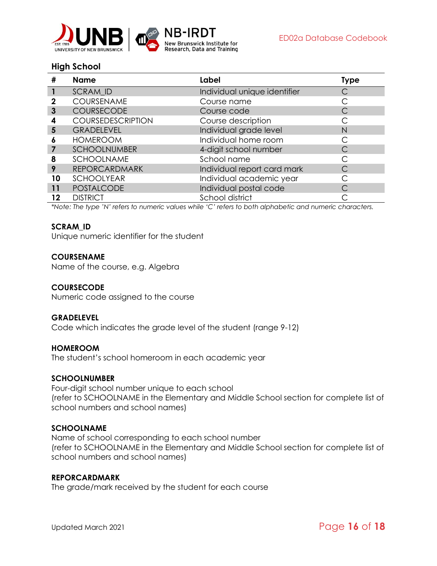

#### <span id="page-15-0"></span>**High School**

| #  | <b>Name</b>              | Label                        | <b>Type</b> |
|----|--------------------------|------------------------------|-------------|
|    | SCRAM_ID                 | Individual unique identifier |             |
|    | COURSENAME               | Course name                  |             |
| 3  | COURSECODE               | Course code                  |             |
| 4  | <b>COURSEDESCRIPTION</b> | Course description           |             |
| 5  | <b>GRADELEVEL</b>        | Individual grade level       | N           |
| 6  | <b>HOMEROOM</b>          | Individual home room         |             |
|    | <b>SCHOOLNUMBER</b>      | 4-digit school number        |             |
| 8  | <b>SCHOOLNAME</b>        | School name                  |             |
| 9  | <b>REPORCARDMARK</b>     | Individual report card mark  |             |
| 10 | <b>SCHOOLYEAR</b>        | Individual academic year     |             |
| 11 | <b>POSTALCODE</b>        | Individual postal code       |             |
| 12 | <b>DISTRICT</b>          | School district              |             |

k Institute for

Research, Data and Training

*\*Note: The type 'N' refers to numeric values while 'C' refers to both alphabetic and numeric characters.*

#### <span id="page-15-1"></span>**SCRAM\_ID**

Unique numeric identifier for the student

#### <span id="page-15-2"></span>**COURSENAME**

Name of the course, e.g. Algebra

#### <span id="page-15-3"></span>**COURSECODE**

Numeric code assigned to the course

#### <span id="page-15-4"></span>**GRADELEVEL**

Code which indicates the grade level of the student (range 9-12)

#### <span id="page-15-5"></span>**HOMEROOM**

The student's school homeroom in each academic year

#### <span id="page-15-6"></span>**SCHOOLNUMBER**

Four-digit school number unique to each school (refer to SCHOOLNAME in the Elementary and Middle School section for complete list of school numbers and school names)

#### <span id="page-15-7"></span>**SCHOOLNAME**

Name of school corresponding to each school number (refer to SCHOOLNAME in the Elementary and Middle School section for complete list of school numbers and school names)

#### <span id="page-15-8"></span>**REPORCARDMARK**

The grade/mark received by the student for each course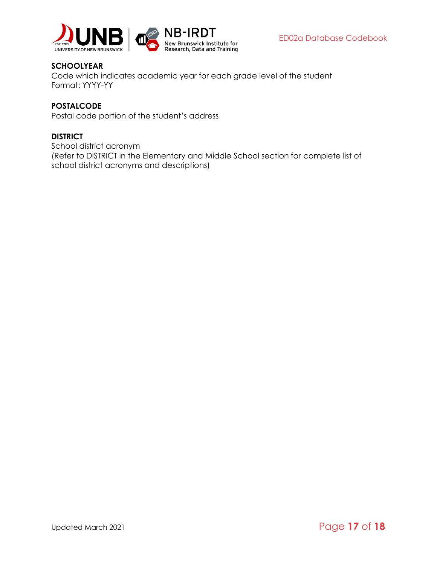

#### <span id="page-16-0"></span>**SCHOOLYEAR**

Code which indicates academic year for each grade level of the student Format: YYYY-YY

#### <span id="page-16-1"></span>**POSTALCODE**

Postal code portion of the student's address

#### <span id="page-16-2"></span>**DISTRICT**

School district acronym (Refer to DISTRICT in the Elementary and Middle School section for complete list of school district acronyms and descriptions)